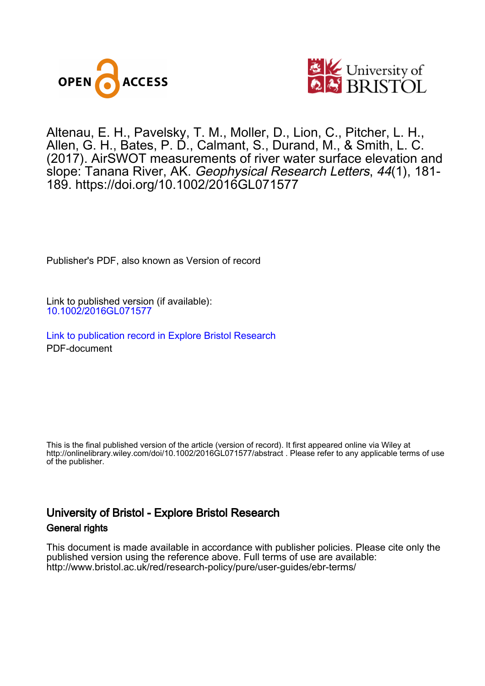



Altenau, E. H., Pavelsky, T. M., Moller, D., Lion, C., Pitcher, L. H., Allen, G. H., Bates, P. D., Calmant, S., Durand, M., & Smith, L. C. (2017). AirSWOT measurements of river water surface elevation and slope: Tanana River, AK. Geophysical Research Letters, 44(1), 181- 189. <https://doi.org/10.1002/2016GL071577>

Publisher's PDF, also known as Version of record

Link to published version (if available): [10.1002/2016GL071577](https://doi.org/10.1002/2016GL071577)

[Link to publication record in Explore Bristol Research](https://research-information.bris.ac.uk/en/publications/0fa726bd-af65-4f25-bf8d-25a6f4e6186d) PDF-document

This is the final published version of the article (version of record). It first appeared online via Wiley at http://onlinelibrary.wiley.com/doi/10.1002/2016GL071577/abstract . Please refer to any applicable terms of use of the publisher.

### University of Bristol - Explore Bristol Research General rights

This document is made available in accordance with publisher policies. Please cite only the published version using the reference above. Full terms of use are available: http://www.bristol.ac.uk/red/research-policy/pure/user-guides/ebr-terms/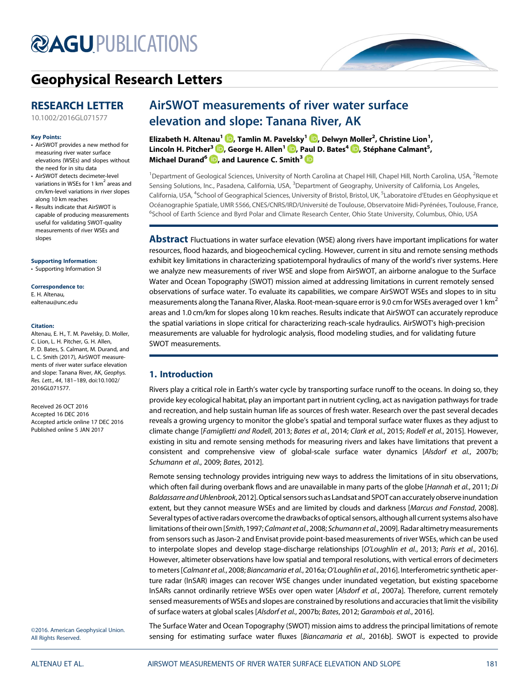# **@AGU[PUBLICATIONS](http://publications.agu.org/journals/)**



## [Geophysical Research Letters](http://onlinelibrary.wiley.com/journal/10.1002/(ISSN)1944-8007)

### RESEARCH LETTER

[10.1002/2016GL071577](http://dx.doi.org/10.1002/2016GL071577)

#### Key Points:

- AirSWOT provides a new method for measuring river water surface elevations (WSEs) and slopes without the need for in situ data
- AirSWOT detects decimeter-level variations in WSEs for 1  $\text{km}^2$  areas and cm/km-level variations in river slopes along 10 km reaches
- Results indicate that AirSWOT is capable of producing measurements useful for validating SWOT-quality measurements of river WSEs and slopes

[Supporting Information:](http://dx.doi.org/10.1002/2016GL071577) [•](http://dx.doi.org/10.1002/2016GL071577) [Supporting Information SI](http://dx.doi.org/10.1002/2016GL071577)

Correspondence to: E. H. Altenau, [ealtenau@unc.edu](mailto:ealtenau@unc.edu)

#### Citation:

Altenau, E. H., T. M. Pavelsky, D. Moller, C. Lion, L. H. Pitcher, G. H. Allen, P. D. Bates, S. Calmant, M. Durand, and L. C. Smith (2017), AirSWOT measurements of river water surface elevation and slope: Tanana River, AK, Geophys. Res. Lett., 44, 181–189, doi:10.1002/ 2016GL071577.

Received 26 OCT 2016 Accepted 16 DEC 2016 Accepted article online 17 DEC 2016 Published online 5 JAN 2017

## AirSWOT measurements of river water surface elevation and slope: Tanana River, AK

Elizabeth H. Altenau<sup>1</sup> (D[,](http://orcid.org/0000-0001-7830-4352) Tamlin M. Pavelsky<sup>1</sup> (D, Delwyn Moller<sup>2</sup>, Christine Lion<sup>1</sup>, Lincoln H. Pitcher<sup>3</sup>  $\textcolor{blue} \bullet$ [,](http://orcid.org/0000-0001-9192-9963) George H. Allen $^1$   $\textcolor{blue} \bullet$ , Paul D. Bates $^4$   $\textcolor{blue} \bullet$ , Stéphane Calmant $^5$ , Michael Durand<sup>6</sup> **D**[,](http://orcid.org/0000-0003-2682-6196) and Laurence C. Smith<sup>3</sup> D

<sup>1</sup>Department of Geological Sciences, University of North Carolina at Chapel Hill, Chapel Hill, North Carolina, USA, <sup>2</sup>Remote Sensing Solutions, Inc., Pasadena, California, USA, <sup>3</sup>Department of Geography, University of California, Los Angeles, California, USA, <sup>4</sup>School of Geographical Sciences, University of Bristol, Bristol, UK, <sup>5</sup>Laboratoire d'Etudes en Géophysique et Océanographie Spatiale, UMR 5566, CNES/CNRS/IRD/Université de Toulouse, Observatoire Midi-Pyrénées, Toulouse, France, <sup>6</sup>School of Earth Science and Byrd Polar and Climate Research Center, Ohio State University, Columbus, Ohio, USA

**Abstract** Fluctuations in water surface elevation (WSE) along rivers have important implications for water resources, flood hazards, and biogeochemical cycling. However, current in situ and remote sensing methods exhibit key limitations in characterizing spatiotemporal hydraulics of many of the world's river systems. Here we analyze new measurements of river WSE and slope from AirSWOT, an airborne analogue to the Surface Water and Ocean Topography (SWOT) mission aimed at addressing limitations in current remotely sensed observations of surface water. To evaluate its capabilities, we compare AirSWOT WSEs and slopes to in situ measurements along the Tanana River, Alaska. Root-mean-square error is 9.0 cm for WSEs averaged over 1 km<sup>2</sup> areas and 1.0 cm/km for slopes along 10 km reaches. Results indicate that AirSWOT can accurately reproduce the spatial variations in slope critical for characterizing reach-scale hydraulics. AirSWOT's high-precision measurements are valuable for hydrologic analysis, flood modeling studies, and for validating future SWOT measurements.

#### 1. Introduction

Rivers play a critical role in Earth's water cycle by transporting surface runoff to the oceans. In doing so, they provide key ecological habitat, play an important part in nutrient cycling, act as navigation pathways for trade and recreation, and help sustain human life as sources of fresh water. Research over the past several decades reveals a growing urgency to monitor the globe's spatial and temporal surface water fluxes as they adjust to climate change [Famiglietti and Rodell, 2013; Bates et al., 2014; Clark et al., 2015; Rodell et al., 2015]. However, existing in situ and remote sensing methods for measuring rivers and lakes have limitations that prevent a consistent and comprehensive view of global-scale surface water dynamics [Alsdorf et al., 2007b; Schumann et al., 2009; Bates, 2012].

Remote sensing technology provides intriguing new ways to address the limitations of in situ observations, which often fail during overbank flows and are unavailable in many parts of the globe [Hannah et al., 2011; Di Baldassarre and Uhlenbrook, 2012].Optical sensors such as Landsat and SPOT can accurately observe inundation extent, but they cannot measure WSEs and are limited by clouds and darkness [Marcus and Fonstad, 2008]. Several types of active radars overcome the drawbacks of optical sensors, although all current systems also have limitations of their own [Smith, 1997; Calmant et al., 2008; Schumann et al., 2009]. Radar altimetry measurements from sensors such as Jason-2 and Envisat provide point-based measurements of river WSEs, which can be used to interpolate slopes and develop stage-discharge relationships [O'Loughlin et al., 2013; Paris et al., 2016]. However, altimeter observations have low spatial and temporal resolutions, with vertical errors of decimeters to meters [Calmant et al., 2008; Biancamaria et al., 2016a; O'Loughlin et al., 2016]. Interferometric synthetic aperture radar (InSAR) images can recover WSE changes under inundated vegetation, but existing spaceborne InSARs cannot ordinarily retrieve WSEs over open water [Alsdorf et al., 2007a]. Therefore, current remotely sensed measurements of WSEs and slopes are constrained by resolutions and accuracies that limit the visibility of surface waters at global scales [Alsdorf et al., 2007b; Bates, 2012; Garambois et al., 2016].

©2016. American Geophysical Union. All Rights Reserved.

The Surface Water and Ocean Topography (SWOT) mission aims to address the principal limitations of remote sensing for estimating surface water fluxes [Biancamaria et al., 2016b]. SWOT is expected to provide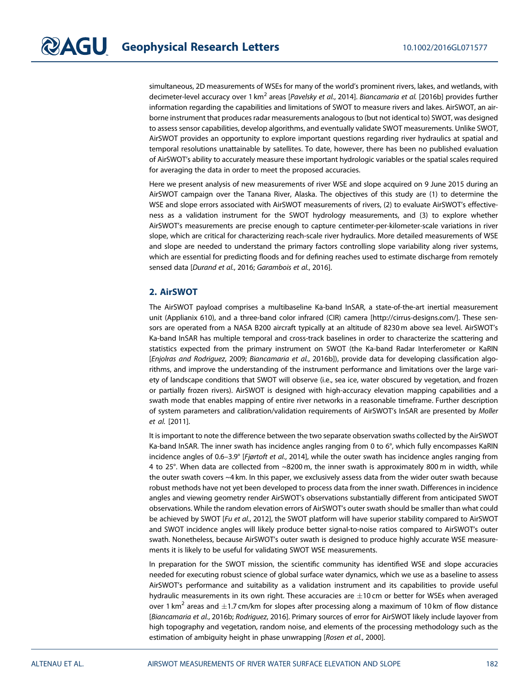simultaneous, 2D measurements of WSEs for many of the world's prominent rivers, lakes, and wetlands, with decimeter-level accuracy over 1 km<sup>2</sup> areas [Pavelsky et al., 2014]. Biancamaria et al. [2016b] provides further information regarding the capabilities and limitations of SWOT to measure rivers and lakes. AirSWOT, an airborne instrument that produces radar measurements analogous to (but not identical to) SWOT, was designed to assess sensor capabilities, develop algorithms, and eventually validate SWOT measurements. Unlike SWOT, AirSWOT provides an opportunity to explore important questions regarding river hydraulics at spatial and temporal resolutions unattainable by satellites. To date, however, there has been no published evaluation of AirSWOT's ability to accurately measure these important hydrologic variables or the spatial scales required for averaging the data in order to meet the proposed accuracies.

Here we present analysis of new measurements of river WSE and slope acquired on 9 June 2015 during an AirSWOT campaign over the Tanana River, Alaska. The objectives of this study are (1) to determine the WSE and slope errors associated with AirSWOT measurements of rivers, (2) to evaluate AirSWOT's effectiveness as a validation instrument for the SWOT hydrology measurements, and (3) to explore whether AirSWOT's measurements are precise enough to capture centimeter-per-kilometer-scale variations in river slope, which are critical for characterizing reach-scale river hydraulics. More detailed measurements of WSE and slope are needed to understand the primary factors controlling slope variability along river systems, which are essential for predicting floods and for defining reaches used to estimate discharge from remotely sensed data [Durand et al., 2016; Garambois et al., 2016].

#### 2. AirSWOT

The AirSWOT payload comprises a multibaseline Ka-band InSAR, a state-of-the-art inertial measurement unit (Applianix 610), and a three-band color infrared (CIR) camera [<http://cirrus-designs.com>/]. These sensors are operated from a NASA B200 aircraft typically at an altitude of 8230 m above sea level. AirSWOT's Ka-band InSAR has multiple temporal and cross-track baselines in order to characterize the scattering and statistics expected from the primary instrument on SWOT (the Ka-band Radar Interferometer or KaRIN [Enjolras and Rodriguez, 2009; Biancamaria et al., 2016b]), provide data for developing classification algorithms, and improve the understanding of the instrument performance and limitations over the large variety of landscape conditions that SWOT will observe (i.e., sea ice, water obscured by vegetation, and frozen or partially frozen rivers). AirSWOT is designed with high-accuracy elevation mapping capabilities and a swath mode that enables mapping of entire river networks in a reasonable timeframe. Further description of system parameters and calibration/validation requirements of AirSWOT's InSAR are presented by Moller et al. [2011].

It is important to note the difference between the two separate observation swaths collected by the AirSWOT Ka-band InSAR. The inner swath has incidence angles ranging from 0 to 6°, which fully encompasses KaRIN incidence angles of 0.6–3.9° [Fjørtoft et al., 2014], while the outer swath has incidence angles ranging from 4 to 25°. When data are collected from ~8200 m, the inner swath is approximately 800 m in width, while the outer swath covers ~4 km. In this paper, we exclusively assess data from the wider outer swath because robust methods have not yet been developed to process data from the inner swath. Differences in incidence angles and viewing geometry render AirSWOT's observations substantially different from anticipated SWOT observations. While the random elevation errors of AirSWOT's outer swath should be smaller than what could be achieved by SWOT [Fu et al., 2012], the SWOT platform will have superior stability compared to AirSWOT and SWOT incidence angles will likely produce better signal-to-noise ratios compared to AirSWOT's outer swath. Nonetheless, because AirSWOT's outer swath is designed to produce highly accurate WSE measurements it is likely to be useful for validating SWOT WSE measurements.

In preparation for the SWOT mission, the scientific community has identified WSE and slope accuracies needed for executing robust science of global surface water dynamics, which we use as a baseline to assess AirSWOT's performance and suitability as a validation instrument and its capabilities to provide useful hydraulic measurements in its own right. These accuracies are  $\pm 10$  cm or better for WSEs when averaged over 1 km<sup>2</sup> areas and  $\pm$ 1.7 cm/km for slopes after processing along a maximum of 10 km of flow distance [Biancamaria et al., 2016b; Rodriguez, 2016]. Primary sources of error for AirSWOT likely include layover from high topography and vegetation, random noise, and elements of the processing methodology such as the estimation of ambiguity height in phase unwrapping [Rosen et al., 2000].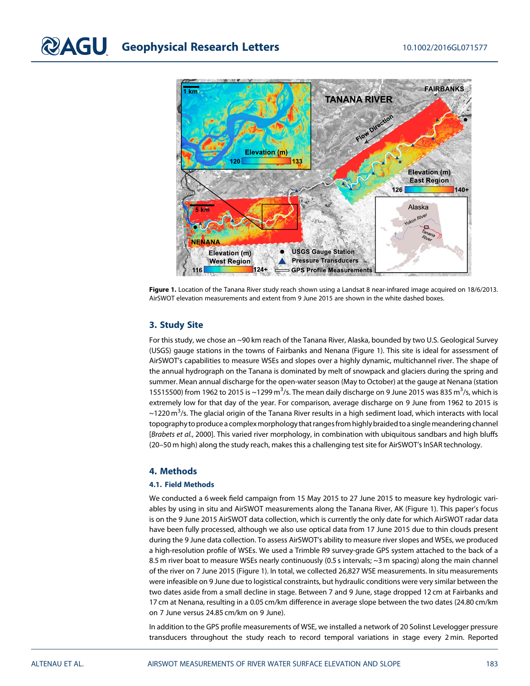

Figure 1. Location of the Tanana River study reach shown using a Landsat 8 near-infrared image acquired on 18/6/2013. AirSWOT elevation measurements and extent from 9 June 2015 are shown in the white dashed boxes.

#### 3. Study Site

For this study, we chose an ~90 km reach of the Tanana River, Alaska, bounded by two U.S. Geological Survey (USGS) gauge stations in the towns of Fairbanks and Nenana (Figure 1). This site is ideal for assessment of AirSWOT's capabilities to measure WSEs and slopes over a highly dynamic, multichannel river. The shape of the annual hydrograph on the Tanana is dominated by melt of snowpack and glaciers during the spring and summer. Mean annual discharge for the open-water season (May to October) at the gauge at Nenana (station 15515500) from 1962 to 2015 is ~1299 m<sup>3</sup>/s. The mean daily discharge on 9 June 2015 was 835 m<sup>3</sup>/s, which is extremely low for that day of the year. For comparison, average discharge on 9 June from 1962 to 2015 is  $\sim$ 1220 m $^3$ /s. The glacial origin of the Tanana River results in a high sediment load, which interacts with local topography to produce a complex morphology that ranges from highly braided to a single meandering channel [Brabets et al., 2000]. This varied river morphology, in combination with ubiquitous sandbars and high bluffs (20–50 m high) along the study reach, makes this a challenging test site for AirSWOT's InSAR technology.

#### 4. Methods

#### 4.1. Field Methods

We conducted a 6 week field campaign from 15 May 2015 to 27 June 2015 to measure key hydrologic variables by using in situ and AirSWOT measurements along the Tanana River, AK (Figure 1). This paper's focus is on the 9 June 2015 AirSWOT data collection, which is currently the only date for which AirSWOT radar data have been fully processed, although we also use optical data from 17 June 2015 due to thin clouds present during the 9 June data collection. To assess AirSWOT's ability to measure river slopes and WSEs, we produced a high-resolution profile of WSEs. We used a Trimble R9 survey-grade GPS system attached to the back of a 8.5 m river boat to measure WSEs nearly continuously (0.5 s intervals; ~3 m spacing) along the main channel of the river on 7 June 2015 (Figure 1). In total, we collected 26,827 WSE measurements. In situ measurements were infeasible on 9 June due to logistical constraints, but hydraulic conditions were very similar between the two dates aside from a small decline in stage. Between 7 and 9 June, stage dropped 12 cm at Fairbanks and 17 cm at Nenana, resulting in a 0.05 cm/km difference in average slope between the two dates (24.80 cm/km on 7 June versus 24.85 cm/km on 9 June).

In addition to the GPS profile measurements of WSE, we installed a network of 20 Solinst Levelogger pressure transducers throughout the study reach to record temporal variations in stage every 2 min. Reported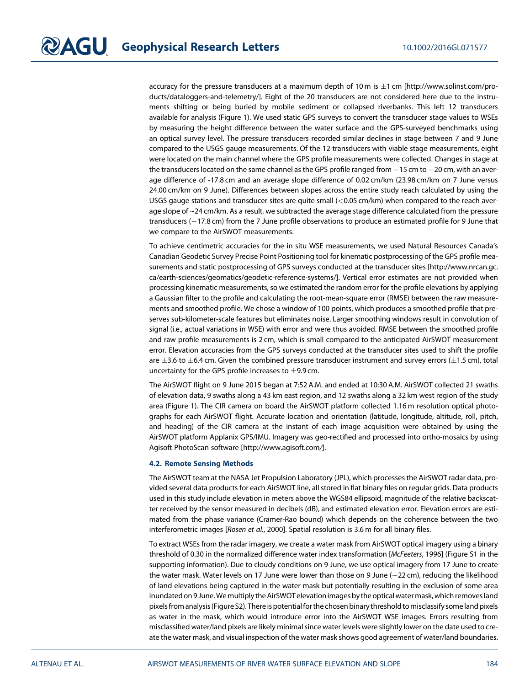accuracy for the pressure transducers at a maximum depth of 10 m is  $\pm$ 1 cm [[http://www.solinst.com/pro](http://www.solinst.com/products/dataloggers-and-telemetry/)[ducts/dataloggers-and-telemetry/](http://www.solinst.com/products/dataloggers-and-telemetry/)]. Eight of the 20 transducers are not considered here due to the instruments shifting or being buried by mobile sediment or collapsed riverbanks. This left 12 transducers available for analysis (Figure 1). We used static GPS surveys to convert the transducer stage values to WSEs by measuring the height difference between the water surface and the GPS-surveyed benchmarks using an optical survey level. The pressure transducers recorded similar declines in stage between 7 and 9 June compared to the USGS gauge measurements. Of the 12 transducers with viable stage measurements, eight were located on the main channel where the GPS profile measurements were collected. Changes in stage at the transducers located on the same channel as the GPS profile ranged from  $-15$  cm to  $-20$  cm, with an average difference of -17.8 cm and an average slope difference of 0.02 cm/km (23.98 cm/km on 7 June versus 24.00 cm/km on 9 June). Differences between slopes across the entire study reach calculated by using the USGS gauge stations and transducer sites are quite small (<0.05 cm/km) when compared to the reach average slope of ~24 cm/km. As a result, we subtracted the average stage difference calculated from the pressure transducers (-17.8 cm) from the 7 June profile observations to produce an estimated profile for 9 June that we compare to the AirSWOT measurements.

To achieve centimetric accuracies for the in situ WSE measurements, we used Natural Resources Canada's Canadian Geodetic Survey Precise Point Positioning tool for kinematic postprocessing of the GPS profile measurements and static postprocessing of GPS surveys conducted at the transducer sites [[http://www.nrcan.gc.](http://www.nrcan.gc.ca/earth-sciences/geomatics/geodetic-reference-systems/) [ca/earth-sciences/geomatics/geodetic-reference-systems/\]](http://www.nrcan.gc.ca/earth-sciences/geomatics/geodetic-reference-systems/). Vertical error estimates are not provided when processing kinematic measurements, so we estimated the random error for the profile elevations by applying a Gaussian filter to the profile and calculating the root-mean-square error (RMSE) between the raw measurements and smoothed profile. We chose a window of 100 points, which produces a smoothed profile that preserves sub-kilometer-scale features but eliminates noise. Larger smoothing windows result in convolution of signal (i.e., actual variations in WSE) with error and were thus avoided. RMSE between the smoothed profile and raw profile measurements is 2 cm, which is small compared to the anticipated AirSWOT measurement error. Elevation accuracies from the GPS surveys conducted at the transducer sites used to shift the profile are  $\pm 3.6$  to  $\pm 6.4$  cm. Given the combined pressure transducer instrument and survey errors ( $\pm 1.5$  cm), total uncertainty for the GPS profile increases to  $\pm$ 9.9 cm.

The AirSWOT flight on 9 June 2015 began at 7:52 A.M. and ended at 10:30 A.M. AirSWOT collected 21 swaths of elevation data, 9 swaths along a 43 km east region, and 12 swaths along a 32 km west region of the study area (Figure 1). The CIR camera on board the AirSWOT platform collected 1.16 m resolution optical photographs for each AirSWOT flight. Accurate location and orientation (latitude, longitude, altitude, roll, pitch, and heading) of the CIR camera at the instant of each image acquisition were obtained by using the AirSWOT platform Applanix GPS/IMU. Imagery was geo-rectified and processed into ortho-mosaics by using Agisoft PhotoScan software [\[http://www.agisoft.com](http://www.agisoft.com)/].

#### 4.2. Remote Sensing Methods

The AirSWOT team at the NASA Jet Propulsion Laboratory (JPL), which processes the AirSWOT radar data, provided several data products for each AirSWOT line, all stored in flat binary files on regular grids. Data products used in this study include elevation in meters above the WGS84 ellipsoid, magnitude of the relative backscatter received by the sensor measured in decibels (dB), and estimated elevation error. Elevation errors are estimated from the phase variance (Cramer-Rao bound) which depends on the coherence between the two interferometric images [Rosen et al., 2000]. Spatial resolution is 3.6 m for all binary files.

To extract WSEs from the radar imagery, we create a water mask from AirSWOT optical imagery using a binary threshold of 0.30 in the normalized difference water index transformation [McFeeters, 1996] (Figure S1 in the supporting information). Due to cloudy conditions on 9 June, we use optical imagery from 17 June to create the water mask. Water levels on 17 June were lower than those on 9 June  $(-22 \text{ cm})$ , reducing the likelihood of land elevations being captured in the water mask but potentially resulting in the exclusion of some area inundated on 9 June.Wemultiply the AirSWOT elevation images by the optical watermask, which removes land pixelsfrom analysis(Figure S2). There is potentialfor the chosen binary threshold tomisclassify some land pixels as water in the mask, which would introduce error into the AirSWOT WSE images. Errors resulting from misclassified water/land pixels are likely minimal since water levels were slightly lower on the date used to create the water mask, and visual inspection of the water mask shows good agreement of water/land boundaries.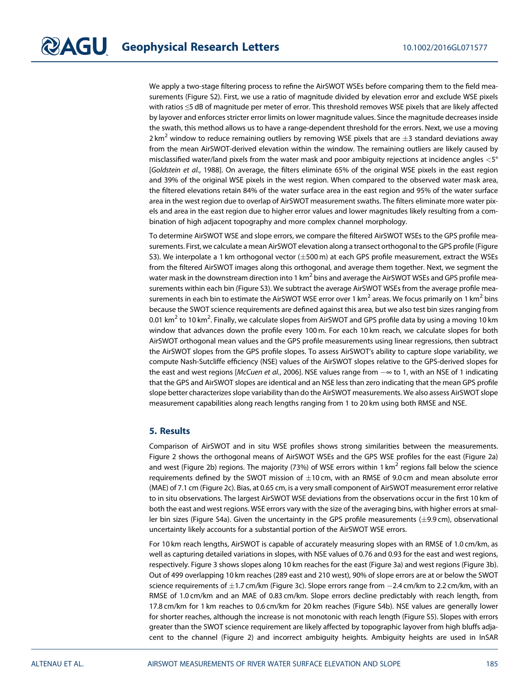We apply a two-stage filtering process to refine the AirSWOT WSEs before comparing them to the field measurements (Figure S2). First, we use a ratio of magnitude divided by elevation error and exclude WSE pixels with ratios ≤5 dB of magnitude per meter of error. This threshold removes WSE pixels that are likely affected by layover and enforces stricter error limits on lower magnitude values. Since the magnitude decreases inside the swath, this method allows us to have a range-dependent threshold for the errors. Next, we use a moving 2 km<sup>2</sup> window to reduce remaining outliers by removing WSE pixels that are  $\pm$ 3 standard deviations away from the mean AirSWOT-derived elevation within the window. The remaining outliers are likely caused by misclassified water/land pixels from the water mask and poor ambiguity rejections at incidence angles <5° [Goldstein et al., 1988]. On average, the filters eliminate 65% of the original WSE pixels in the east region and 39% of the original WSE pixels in the west region. When compared to the observed water mask area, the filtered elevations retain 84% of the water surface area in the east region and 95% of the water surface area in the west region due to overlap of AirSWOT measurement swaths. The filters eliminate more water pixels and area in the east region due to higher error values and lower magnitudes likely resulting from a combination of high adjacent topography and more complex channel morphology.

To determine AirSWOT WSE and slope errors, we compare the filtered AirSWOT WSEs to the GPS profile measurements. First, we calculate a mean AirSWOT elevation along a transect orthogonal to the GPS profile (Figure S3). We interpolate a 1 km orthogonal vector  $(\pm 500 \text{ m})$  at each GPS profile measurement, extract the WSEs from the filtered AirSWOT images along this orthogonal, and average them together. Next, we segment the water mask in the downstream direction into 1 km<sup>2</sup> bins and average the AirSWOT WSEs and GPS profile measurements within each bin (Figure S3). We subtract the average AirSWOT WSEs from the average profile measurements in each bin to estimate the AirSWOT WSE error over 1 km<sup>2</sup> areas. We focus primarily on 1 km<sup>2</sup> bins because the SWOT science requirements are defined against this area, but we also test bin sizes ranging from 0.01 km $^2$  to 10 km $^2$ . Finally, we calculate slopes from AirSWOT and GPS profile data by using a moving 10 km window that advances down the profile every 100 m. For each 10 km reach, we calculate slopes for both AirSWOT orthogonal mean values and the GPS profile measurements using linear regressions, then subtract the AirSWOT slopes from the GPS profile slopes. To assess AirSWOT's ability to capture slope variability, we compute Nash-Sutcliffe efficiency (NSE) values of the AirSWOT slopes relative to the GPS-derived slopes for the east and west regions [McCuen et al., 2006]. NSE values range from  $-\infty$  to 1, with an NSE of 1 indicating that the GPS and AirSWOT slopes are identical and an NSE less than zero indicating that the mean GPS profile slope better characterizes slope variability than do the AirSWOT measurements. We also assess AirSWOT slope measurement capabilities along reach lengths ranging from 1 to 20 km using both RMSE and NSE.

#### 5. Results

Comparison of AirSWOT and in situ WSE profiles shows strong similarities between the measurements. Figure 2 shows the orthogonal means of AirSWOT WSEs and the GPS WSE profiles for the east (Figure 2a) and west (Figure 2b) regions. The majority (73%) of WSE errors within 1 km<sup>2</sup> regions fall below the science requirements defined by the SWOT mission of  $\pm 10$  cm, with an RMSE of 9.0 cm and mean absolute error (MAE) of 7.1 cm (Figure 2c). Bias, at 0.65 cm, is a very small component of AirSWOT measurement error relative to in situ observations. The largest AirSWOT WSE deviations from the observations occur in the first 10 km of both the east and west regions. WSE errors vary with the size of the averaging bins, with higher errors at smaller bin sizes (Figure S4a). Given the uncertainty in the GPS profile measurements ( $\pm$ 9.9 cm), observational uncertainty likely accounts for a substantial portion of the AirSWOT WSE errors.

For 10 km reach lengths, AirSWOT is capable of accurately measuring slopes with an RMSE of 1.0 cm/km, as well as capturing detailed variations in slopes, with NSE values of 0.76 and 0.93 for the east and west regions, respectively. Figure 3 shows slopes along 10 km reaches for the east (Figure 3a) and west regions (Figure 3b). Out of 499 overlapping 10 km reaches (289 east and 210 west), 90% of slope errors are at or below the SWOT science requirements of  $\pm$ 1.7 cm/km (Figure 3c). Slope errors range from  $-2.4$  cm/km to 2.2 cm/km, with an RMSE of 1.0 cm/km and an MAE of 0.83 cm/km. Slope errors decline predictably with reach length, from 17.8 cm/km for 1 km reaches to 0.6 cm/km for 20 km reaches (Figure S4b). NSE values are generally lower for shorter reaches, although the increase is not monotonic with reach length (Figure S5). Slopes with errors greater than the SWOT science requirement are likely affected by topographic layover from high bluffs adjacent to the channel (Figure 2) and incorrect ambiguity heights. Ambiguity heights are used in InSAR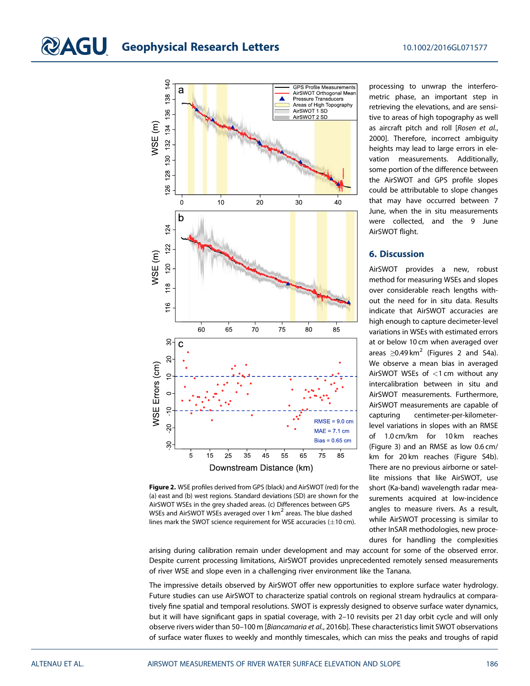## **CAGU** Geophysical Research Letters 10.1002/2016GL071577



Figure 2. WSE profiles derived from GPS (black) and AirSWOT (red) for the (a) east and (b) west regions. Standard deviations (SD) are shown for the AirSWOT WSEs in the grey shaded areas. (c) Differences between GPS WSEs and AirSWOT WSEs averaged over 1 km<sup>2</sup> areas. The blue dashed lines mark the SWOT science requirement for WSE accuracies  $(\pm 10 \text{ cm})$ .

processing to unwrap the interferometric phase, an important step in retrieving the elevations, and are sensitive to areas of high topography as well as aircraft pitch and roll [Rosen et al., 2000]. Therefore, incorrect ambiguity heights may lead to large errors in elevation measurements. Additionally, some portion of the difference between the AirSWOT and GPS profile slopes could be attributable to slope changes that may have occurred between 7 June, when the in situ measurements were collected, and the 9 June AirSWOT flight.

#### 6. Discussion

AirSWOT provides a new, robust method for measuring WSEs and slopes over considerable reach lengths without the need for in situ data. Results indicate that AirSWOT accuracies are high enough to capture decimeter-level variations in WSEs with estimated errors at or below 10 cm when averaged over areas  $\geq$ 0.49 km<sup>2</sup> (Figures 2 and S4a). We observe a mean bias in averaged AirSWOT WSEs of <1 cm without any intercalibration between in situ and AirSWOT measurements. Furthermore, AirSWOT measurements are capable of capturing centimeter-per-kilometerlevel variations in slopes with an RMSE of 1.0 cm/km for 10 km reaches (Figure 3) and an RMSE as low 0.6 cm/ km for 20 km reaches (Figure S4b). There are no previous airborne or satellite missions that like AirSWOT, use short (Ka-band) wavelength radar measurements acquired at low-incidence angles to measure rivers. As a result, while AirSWOT processing is similar to other InSAR methodologies, new procedures for handling the complexities

arising during calibration remain under development and may account for some of the observed error. Despite current processing limitations, AirSWOT provides unprecedented remotely sensed measurements of river WSE and slope even in a challenging river environment like the Tanana.

The impressive details observed by AirSWOT offer new opportunities to explore surface water hydrology. Future studies can use AirSWOT to characterize spatial controls on regional stream hydraulics at comparatively fine spatial and temporal resolutions. SWOT is expressly designed to observe surface water dynamics, but it will have significant gaps in spatial coverage, with 2–10 revisits per 21 day orbit cycle and will only observe rivers wider than 50–100 m [Biancamaria et al., 2016b]. These characteristics limit SWOT observations of surface water fluxes to weekly and monthly timescales, which can miss the peaks and troughs of rapid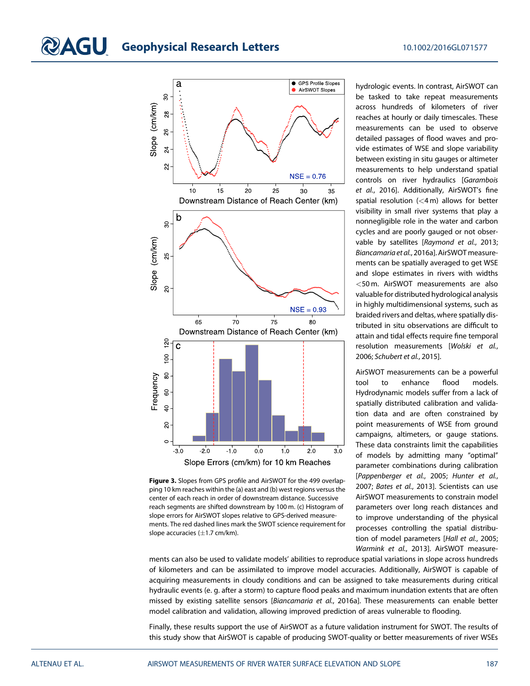#### **QAGU** Geophysical Research Letters 10.1002/2016GL071577





hydrologic events. In contrast, AirSWOT can be tasked to take repeat measurements across hundreds of kilometers of river reaches at hourly or daily timescales. These measurements can be used to observe detailed passages of flood waves and provide estimates of WSE and slope variability between existing in situ gauges or altimeter measurements to help understand spatial controls on river hydraulics [Garambois et al., 2016]. Additionally, AirSWOT's fine spatial resolution (<4 m) allows for better visibility in small river systems that play a nonnegligible role in the water and carbon cycles and are poorly gauged or not observable by satellites [Raymond et al., 2013; Biancamaria et al., 2016a]. AirSWOT measurements can be spatially averaged to get WSE and slope estimates in rivers with widths <50 m. AirSWOT measurements are also valuable for distributed hydrological analysis in highly multidimensional systems, such as braided rivers and deltas, where spatially distributed in situ observations are difficult to attain and tidal effects require fine temporal resolution measurements [Wolski et al., 2006; Schubert et al., 2015].

AirSWOT measurements can be a powerful tool to enhance flood models. Hydrodynamic models suffer from a lack of spatially distributed calibration and validation data and are often constrained by point measurements of WSE from ground campaigns, altimeters, or gauge stations. These data constraints limit the capabilities of models by admitting many "optimal" parameter combinations during calibration [Pappenberger et al., 2005; Hunter et al., 2007; Bates et al., 2013]. Scientists can use AirSWOT measurements to constrain model parameters over long reach distances and to improve understanding of the physical processes controlling the spatial distribution of model parameters [Hall et al., 2005; Warmink et al., 2013]. AirSWOT measure-

ments can also be used to validate models' abilities to reproduce spatial variations in slope across hundreds of kilometers and can be assimilated to improve model accuracies. Additionally, AirSWOT is capable of acquiring measurements in cloudy conditions and can be assigned to take measurements during critical hydraulic events (e. g. after a storm) to capture flood peaks and maximum inundation extents that are often missed by existing satellite sensors [Biancamaria et al., 2016a]. These measurements can enable better model calibration and validation, allowing improved prediction of areas vulnerable to flooding.

Finally, these results support the use of AirSWOT as a future validation instrument for SWOT. The results of this study show that AirSWOT is capable of producing SWOT-quality or better measurements of river WSEs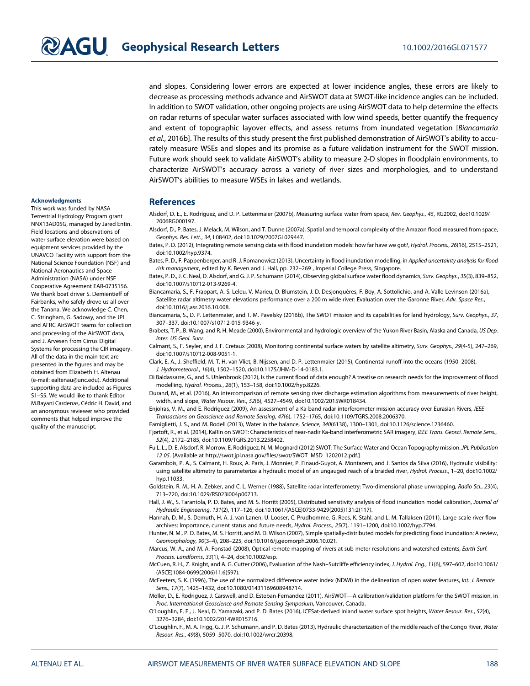and slopes. Considering lower errors are expected at lower incidence angles, these errors are likely to decrease as processing methods advance and AirSWOT data at SWOT-like incidence angles can be included. In addition to SWOT validation, other ongoing projects are using AirSWOT data to help determine the effects on radar returns of specular water surfaces associated with low wind speeds, better quantify the frequency and extent of topographic layover effects, and assess returns from inundated vegetation [Biancamaria et al., 2016b]. The results of this study present the first published demonstration of AirSWOT's ability to accurately measure WSEs and slopes and its promise as a future validation instrument for the SWOT mission. Future work should seek to validate AirSWOT's ability to measure 2-D slopes in floodplain environments, to characterize AirSWOT's accuracy across a variety of river sizes and morphologies, and to understand AirSWOT's abilities to measure WSEs in lakes and wetlands.

#### Acknowledgments

This work was funded by NASA Terrestrial Hydrology Program grant NNX13AD05G, managed by Jared Entin. Field locations and observations of water surface elevation were based on equipment services provided by the UNAVCO Facility with support from the National Science Foundation (NSF) and National Aeronautics and Space Administration (NASA) under NSF Cooperative Agreement EAR-0735156. We thank boat driver S. Demientieff of Fairbanks, who safely drove us all over the Tanana. We acknowledge C. Chen, C. Stringham, G. Sadowy, and the JPL and AFRC AirSWOT teams for collection and processing of the AirSWOT data, and J. Arvesen from Cirrus Digital Systems for processing the CIR imagery. All of the data in the main text are presented in the figures and may be obtained from Elizabeth H. Altenau (e-mail: [ealtenau@unc.edu](mailto:ealtenau@unc.edu)). Additional supporting data are included as Figures S1–S5. We would like to thank Editor M.Bayani Cardenas, Cédric H. David, and an anonymous reviewer who provided comments that helped improve the quality of the manuscript.

#### References

- Alsdorf, D. E., E. Rodríguez, and D. P. Lettenmaier (2007b), Measuring surface water from space, Rev. Geophys., 45, RG2002, doi:[10.1029/](http://doi.org/10.1029/2006RG000197) [2006RG000197.](http://doi.org/10.1029/2006RG000197)
- Alsdorf, D., P. Bates, J. Melack, M. Wilson, and T. Dunne (2007a), Spatial and temporal complexity of the Amazon flood measured from space, Geophys. Res. Lett., 34, L08402, doi[:10.1029/2007GL029447](http://doi.org/10.1029/2007GL029447).
- Bates, P. D. (2012), Integrating remote sensing data with flood inundation models: how far have we got?, Hydrol. Process., 26(16), 2515–2521, doi[:10.1002/hyp.9374](http://doi.org/10.1002/hyp.9374).
- Bates, P. D., F. Pappenberger, and R. J. Romanowicz (2013), Uncertainty in flood inundation modelling, in Applied uncertainty analysis for flood risk management, edited by K. Beven and J. Hall, pp. 232–269 , Imperial College Press, Singapore.
- Bates, P. D., J. C. Neal, D. Alsdorf, and G. J. P. Schumann (2014), Observing global surface water flood dynamics, Surv. Geophys., 35(3), 839–852, doi[:10.1007/s10712-013-9269-4](http://doi.org/10.1007/s10712-013-9269-4).
- Biancamaria, S., F. Frappart, A. S. Leleu, V. Marieu, D. Blumstein, J. D. Desjonquères, F. Boy, A. Sottolichio, and A. Valle-Levinson (2016a), Satellite radar altimetry water elevations performance over a 200 m wide river: Evaluation over the Garonne River, Adv. Space Res., doi[:10.1016/j.asr.2016.10.008](http://doi.org/10.1016/j.asr.2016.10.008).
- Biancamaria, S., D. P. Lettenmaier, and T. M. Pavelsky (2016b), The SWOT mission and its capabilities for land hydrology, Surv. Geophys., 37, 307–337, doi:[10.1007/s10712-015-9346-y](http://doi.org/10.1007/s10712-015-9346-y).
- Brabets, T. P., B. Wang, and R. H. Meade (2000), Environmental and hydrologic overview of the Yukon River Basin, Alaska and Canada, US Dep. Inter. US Geol. Surv.
- Calmant, S., F. Seyler, and J. F. Cretaux (2008), Monitoring continental surface waters by satellite altimetry, Surv. Geophys., 29(4-5), 247–269, doi[:10.1007/s10712-008-9051-1](http://doi.org/10.1007/s10712-008-9051-1).
- Clark, E. A., J. Sheffield, M. T. H. van Vliet, B. Nijssen, and D. P. Lettenmaier (2015), Continental runoff into the oceans (1950–2008), J. Hydrometeorol., 16(4), 1502–1520, doi:[10.1175/JHM-D-14-0183.1](http://doi.org/10.1175/JHM-D-14-0183.1).
- Di Baldassarre, G., and S. Uhlenbrook (2012), Is the current flood of data enough? A treatise on research needs for the improvement of flood modelling, Hydrol. Process., 26(1), 153–158, doi[:10.1002/hyp.8226](http://doi.org/10.1002/hyp.8226).
- Durand, M., et al. (2016), An intercomparison of remote sensing river discharge estimation algorithms from measurements of river height, width, and slope, Water Resour. Res., 52(6), 4527–4549, doi[:10.1002/2015WR018434](http://doi.org/10.1002/2015WR018434).
- Enjolras, V. M., and E. Rodriguez (2009), An assessment of a Ka-band radar interferometer mission accuracy over Eurasian Rivers, IEEE Transactions on Geoscience and Remote Sensing, 47(6), 1752–1765, doi[:10.1109/TGRS.2008.2006370.](http://doi.org/10.1109/TGRS.2008.2006370)
- Famiglietti, J. S., and M. Rodell (2013), Water in the balance, Science, 340(6138), 1300–1301, doi[:10.1126/science.1236460](http://doi.org/10.1126/science.1236460).
- Fjørtoft, R., et al. (2014), KaRIn on SWOT: Characteristics of near-nadir Ka-band interferometric SAR imagery, IEEE Trans. Geosci. Remote Sens., 52(4), 2172–2185, doi[:10.1109/TGRS.2013.2258402.](http://doi.org/10.1109/TGRS.2013.2258402)
- Fu L. L., D. E. Alsdorf, R. Morrow, E. Rodriguez, N. M. Mognard (2012) SWOT: The Surface Water and Ocean Topography mission. JPL Publication 12 05. [Available at http://swot.jpl.nasa.gov/fi[les/swot/SWOT\\_MSD\\_1202012.pdf.](http://swot.jpl.nasa.gov/files/swot/SWOT_MSD_1202012.pdf)]
- Garambois, P. A., S. Calmant, H. Roux, A. Paris, J. Monnier, P. Finaud-Guyot, A. Montazem, and J. Santos da Silva (2016), Hydraulic visibility: using satellite altimetry to parameterize a hydraulic model of an ungauged reach of a braided river, Hydrol. Process., 1–20, doi[:10.1002/](http://doi.org/10.1002/hyp.11033) [hyp.11033.](http://doi.org/10.1002/hyp.11033)
- Goldstein, R. M., H. A. Zebker, and C. L. Werner (1988), Satellite radar interferometry: Two-dimensional phase unwrapping, Radio Sci., 23(4), 713–720, doi:[10.1029/RS023i004p00713.](http://doi.org/10.1029/RS023i004p00713)
- Hall, J. W., S. Tarantola, P. D. Bates, and M. S. Horritt (2005), Distributed sensitivity analysis of flood inundation model calibration, Journal of Hydraulic Engineering, 131(2), 117–126, doi:[10.1061/\(ASCE\)0733-9429\(2005\)131:2\(117\)](http://doi.org/10.1061/(ASCE)0733-9429(2005)131:2(117)).
- Hannah, D. M., S. Demuth, H. A. J. van Lanen, U. Looser, C. Prudhomme, G. Rees, K. Stahl, and L. M. Tallaksen (2011), Large-scale river flow archives: Importance, current status and future needs, Hydrol. Process., 25(7), 1191–1200, doi[:10.1002/hyp.7794](http://doi.org/10.1002/hyp.7794).
- Hunter, N. M., P. D. Bates, M. S. Horritt, and M. D. Wilson (2007), Simple spatially-distributed models for predicting flood inundation: A review, Geomorphology, 90(3–4), 208–225, doi:[10.1016/j.geomorph.2006.10.021.](http://doi.org/10.1016/j.geomorph.2006.10.021)
- Marcus, W. A., and M. A. Fonstad (2008), Optical remote mapping of rivers at sub-meter resolutions and watershed extents, Earth Surf. Process. Landforms, 33(1), 4–24, doi:[10.1002/esp](http://doi.org/10.1002/esp).
- McCuen, R. H., Z. Knight, and A. G. Cutter (2006), Evaluation of the Nash–Sutcliffe efficiency index, J. Hydrol. Eng., 11(6), 597–602, doi[:10.1061/](http://doi.org/10.1061/(ASCE)1084-0699(2006)11:6(597)) [\(ASCE\)1084-0699\(2006\)11:6\(597\)](http://doi.org/10.1061/(ASCE)1084-0699(2006)11:6(597)).
- McFeeters, S. K. (1996), The use of the normalized difference water index (NDWI) in the delineation of open water features, Int. J. Remote Sens., 17(7), 1425–1432, doi:[10.1080/01431169608948714.](http://doi.org/10.1080/01431169608948714)
- Moller, D., E. Rodriguez, J. Carswell, and D. Esteban-Fernandez (2011), AirSWOT—A calibration/validation platform for the SWOT mission, in Proc. Interntational Geoscience and Remote Sensing Symposium, Vancouver, Canada.
- O'Loughlin, F. E., J. Neal, D. Yamazaki, and P. D. Bates (2016), ICESat-derived inland water surface spot heights, Water Resour. Res., 52(4), 3276–3284, doi:[10.1002/2014WR015716](http://doi.org/10.1002/2014WR015716).
- O'Loughlin, F., M. A. Trigg, G. J. P. Schumann, and P. D. Bates (2013), Hydraulic characterization of the middle reach of the Congo River, Water Resour. Res., 49(8), 5059–5070, doi:[10.1002/wrcr.20398.](http://doi.org/10.1002/wrcr.20398)